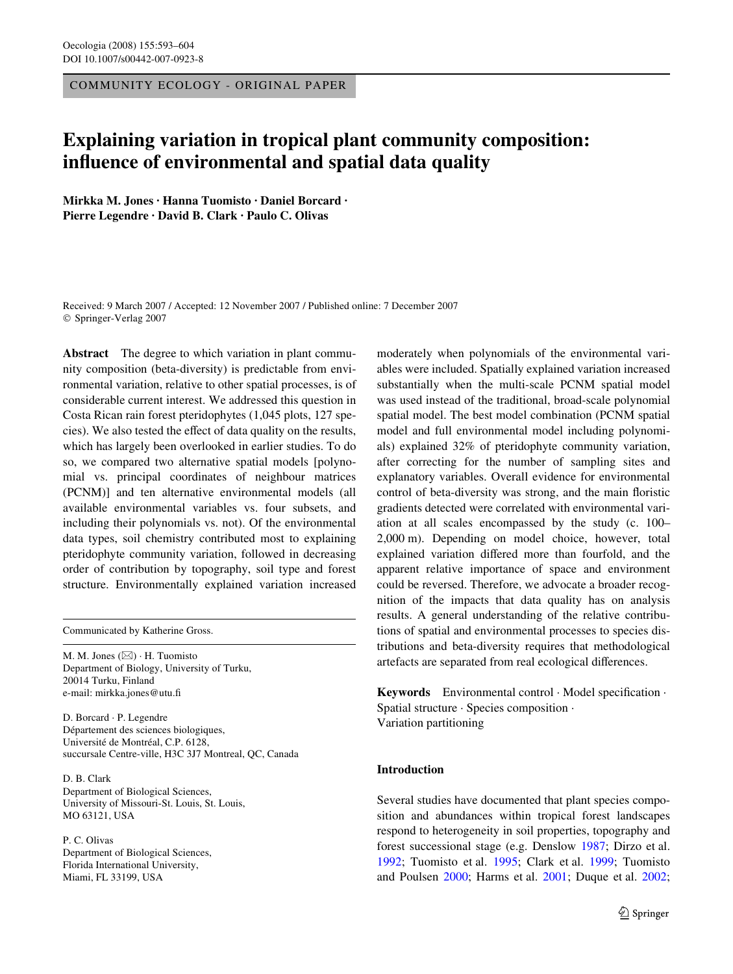COMMUNITY ECOLOGY - ORIGINAL PAPER

# **Explaining variation in tropical plant community composition: influence of environmental and spatial data quality**

**Mirkka M. Jones · Hanna Tuomisto · Daniel Borcard · Pierre Legendre · David B. Clark · Paulo C. Olivas** 

Received: 9 March 2007 / Accepted: 12 November 2007 / Published online: 7 December 2007 © Springer-Verlag 2007

**Abstract** The degree to which variation in plant community composition (beta-diversity) is predictable from environmental variation, relative to other spatial processes, is of considerable current interest. We addressed this question in Costa Rican rain forest pteridophytes (1,045 plots, 127 species). We also tested the effect of data quality on the results, which has largely been overlooked in earlier studies. To do so, we compared two alternative spatial models [polynomial vs. principal coordinates of neighbour matrices (PCNM)] and ten alternative environmental models (all available environmental variables vs. four subsets, and including their polynomials vs. not). Of the environmental data types, soil chemistry contributed most to explaining pteridophyte community variation, followed in decreasing order of contribution by topography, soil type and forest structure. Environmentally explained variation increased

Communicated by Katherine Gross.

M. M. Jones  $(\boxtimes) \cdot$  H. Tuomisto Department of Biology, University of Turku, 20014 Turku, Finland e-mail: mirkka.jones@utu.fi

D. Borcard · P. Legendre Département des sciences biologiques, Université de Montréal, C.P. 6128, succursale Centre-ville, H3C 3J7 Montreal, QC, Canada

D. B. Clark Department of Biological Sciences, University of Missouri-St. Louis, St. Louis, MO 63121, USA

P. C. Olivas Department of Biological Sciences, Florida International University, Miami, FL 33199, USA

moderately when polynomials of the environmental variables were included. Spatially explained variation increased substantially when the multi-scale PCNM spatial model was used instead of the traditional, broad-scale polynomial spatial model. The best model combination (PCNM spatial model and full environmental model including polynomials) explained 32% of pteridophyte community variation, after correcting for the number of sampling sites and explanatory variables. Overall evidence for environmental control of beta-diversity was strong, and the main floristic gradients detected were correlated with environmental variation at all scales encompassed by the study (c. 100– 2,000 m). Depending on model choice, however, total explained variation differed more than fourfold, and the apparent relative importance of space and environment could be reversed. Therefore, we advocate a broader recognition of the impacts that data quality has on analysis results. A general understanding of the relative contributions of spatial and environmental processes to species distributions and beta-diversity requires that methodological artefacts are separated from real ecological differences.

Keywords Environmental control · Model specification · Spatial structure · Species composition · Variation partitioning

# **Introduction**

Several studies have documented that plant species composition and abundances within tropical forest landscapes respond to heterogeneity in soil properties, topography and forest successional stage (e.g. Denslow [1987;](#page-10-0) Dirzo et al. [1992](#page-10-1); Tuomisto et al. [1995](#page-11-0); Clark et al. [1999;](#page-10-2) Tuomisto and Poulsen [2000](#page-11-1); Harms et al. [2001;](#page-10-3) Duque et al. [2002;](#page-10-4)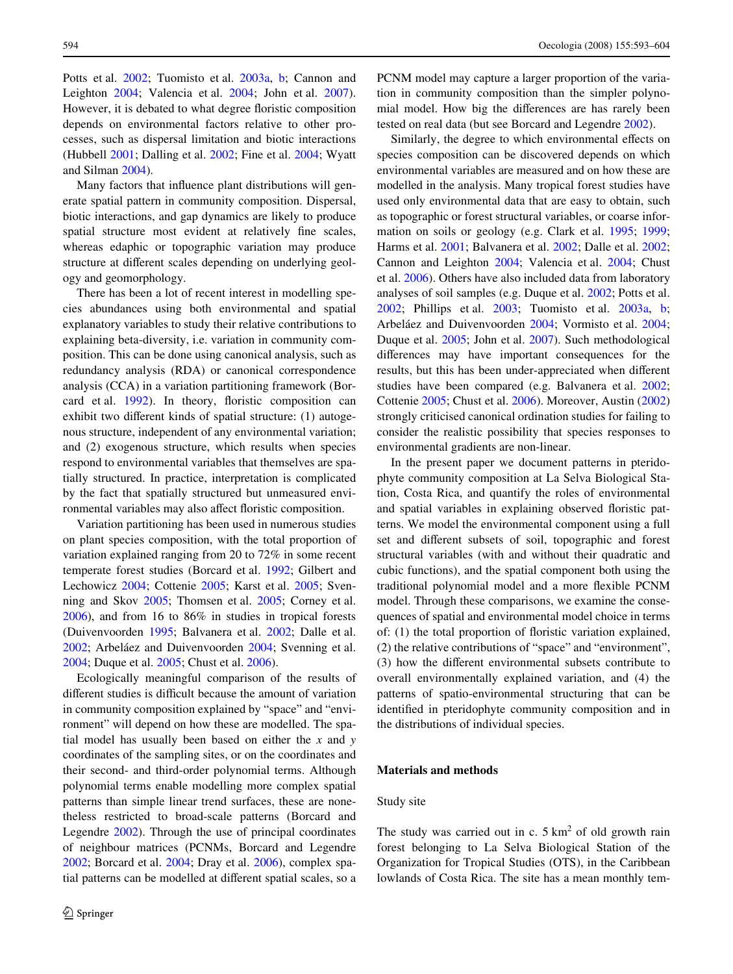Potts et al. [2002;](#page-10-5) Tuomisto et al. [2003a](#page-11-2), [b](#page-11-3); Cannon and Leighton [2004;](#page-10-6) Valencia et al. [2004](#page-11-4); John et al. [2007](#page-10-7)). However, it is debated to what degree floristic composition depends on environmental factors relative to other processes, such as dispersal limitation and biotic interactions (Hubbell [2001;](#page-10-8) Dalling et al. [2002](#page-10-9); Fine et al. [2004](#page-10-10); Wyatt and Silman [2004\)](#page-11-5).

Many factors that influence plant distributions will generate spatial pattern in community composition. Dispersal, biotic interactions, and gap dynamics are likely to produce spatial structure most evident at relatively fine scales, whereas edaphic or topographic variation may produce structure at different scales depending on underlying geology and geomorphology.

There has been a lot of recent interest in modelling species abundances using both environmental and spatial explanatory variables to study their relative contributions to explaining beta-diversity, i.e. variation in community composition. This can be done using canonical analysis, such as redundancy analysis (RDA) or canonical correspondence analysis (CCA) in a variation partitioning framework (Bor-card et al. [1992\)](#page-10-11). In theory, floristic composition can exhibit two different kinds of spatial structure: (1) autogenous structure, independent of any environmental variation; and (2) exogenous structure, which results when species respond to environmental variables that themselves are spatially structured. In practice, interpretation is complicated by the fact that spatially structured but unmeasured environmental variables may also affect floristic composition.

Variation partitioning has been used in numerous studies on plant species composition, with the total proportion of variation explained ranging from 20 to 72% in some recent temperate forest studies (Borcard et al. [1992;](#page-10-11) Gilbert and Lechowicz [2004;](#page-10-12) Cottenie [2005](#page-10-13); Karst et al. [2005](#page-10-14); Svenning and Skov [2005;](#page-10-15) Thomsen et al. [2005;](#page-10-16) Corney et al. [2006](#page-10-17)), and from 16 to 86% in studies in tropical forests (Duivenvoorden [1995;](#page-10-18) Balvanera et al. [2002;](#page-10-19) Dalle et al. [2002](#page-10-20); Arbeláez and Duivenvoorden [2004;](#page-9-0) Svenning et al. [2004](#page-10-21); Duque et al. [2005](#page-10-22); Chust et al. [2006](#page-10-23)).

Ecologically meaningful comparison of the results of different studies is difficult because the amount of variation in community composition explained by "space" and "environment" will depend on how these are modelled. The spatial model has usually been based on either the *x* and *y* coordinates of the sampling sites, or on the coordinates and their second- and third-order polynomial terms. Although polynomial terms enable modelling more complex spatial patterns than simple linear trend surfaces, these are nonetheless restricted to broad-scale patterns (Borcard and Legendre [2002](#page-10-24)). Through the use of principal coordinates of neighbour matrices (PCNMs, Borcard and Legendre [2002](#page-10-24); Borcard et al. [2004;](#page-10-25) Dray et al. [2006](#page-10-26)), complex spatial patterns can be modelled at different spatial scales, so a PCNM model may capture a larger proportion of the variation in community composition than the simpler polynomial model. How big the differences are has rarely been tested on real data (but see Borcard and Legendre [2002\)](#page-10-24).

Similarly, the degree to which environmental effects on species composition can be discovered depends on which environmental variables are measured and on how these are modelled in the analysis. Many tropical forest studies have used only environmental data that are easy to obtain, such as topographic or forest structural variables, or coarse information on soils or geology (e.g. Clark et al. [1995;](#page-10-27) [1999;](#page-10-2) Harms et al. [2001](#page-10-3); Balvanera et al. [2002](#page-10-19); Dalle et al. [2002;](#page-10-20) Cannon and Leighton [2004;](#page-10-6) Valencia et al. [2004;](#page-11-4) Chust et al. [2006](#page-10-23)). Others have also included data from laboratory analyses of soil samples (e.g. Duque et al. [2002;](#page-10-4) Potts et al. [2002](#page-10-5); Phillips et al. [2003](#page-10-28); Tuomisto et al. [2003a,](#page-11-2) [b;](#page-11-3) Arbeláez and Duivenvoorden [2004](#page-9-0); Vormisto et al. [2004;](#page-11-6) Duque et al. [2005;](#page-10-22) John et al. [2007\)](#page-10-7). Such methodological differences may have important consequences for the results, but this has been under-appreciated when different studies have been compared (e.g. Balvanera et al. [2002;](#page-10-19) Cottenie [2005;](#page-10-13) Chust et al. [2006\)](#page-10-23). Moreover, Austin ([2002\)](#page-10-29) strongly criticised canonical ordination studies for failing to consider the realistic possibility that species responses to environmental gradients are non-linear.

In the present paper we document patterns in pteridophyte community composition at La Selva Biological Station, Costa Rica, and quantify the roles of environmental and spatial variables in explaining observed floristic patterns. We model the environmental component using a full set and different subsets of soil, topographic and forest structural variables (with and without their quadratic and cubic functions), and the spatial component both using the traditional polynomial model and a more flexible PCNM model. Through these comparisons, we examine the consequences of spatial and environmental model choice in terms of: (1) the total proportion of floristic variation explained, (2) the relative contributions of "space" and "environment",  $(3)$  how the different environmental subsets contribute to overall environmentally explained variation, and (4) the patterns of spatio-environmental structuring that can be identified in pteridophyte community composition and in the distributions of individual species.

# **Materials and methods**

#### Study site

The study was carried out in c.  $5 \text{ km}^2$  of old growth rain forest belonging to La Selva Biological Station of the Organization for Tropical Studies (OTS), in the Caribbean lowlands of Costa Rica. The site has a mean monthly tem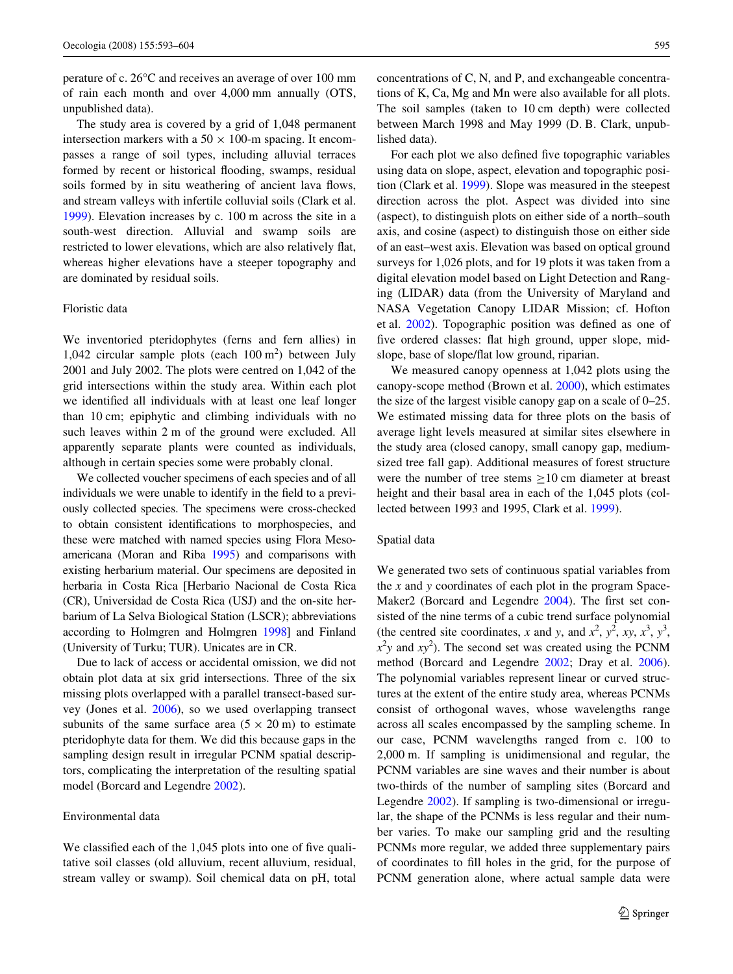perature of c. 26°C and receives an average of over 100 mm of rain each month and over 4,000 mm annually (OTS, unpublished data).

The study area is covered by a grid of 1,048 permanent intersection markers with a  $50 \times 100$ -m spacing. It encompasses a range of soil types, including alluvial terraces formed by recent or historical flooding, swamps, residual soils formed by in situ weathering of ancient lava flows, and stream valleys with infertile colluvial soils (Clark et al. [1999](#page-10-2)). Elevation increases by c. 100 m across the site in a south-west direction. Alluvial and swamp soils are restricted to lower elevations, which are also relatively flat, whereas higher elevations have a steeper topography and are dominated by residual soils.

## Floristic data

We inventoried pteridophytes (ferns and fern allies) in 1,042 circular sample plots (each  $100 \text{ m}^2$ ) between July 2001 and July 2002. The plots were centred on 1,042 of the grid intersections within the study area. Within each plot we identified all individuals with at least one leaf longer than 10 cm; epiphytic and climbing individuals with no such leaves within 2 m of the ground were excluded. All apparently separate plants were counted as individuals, although in certain species some were probably clonal.

We collected voucher specimens of each species and of all individuals we were unable to identify in the field to a previously collected species. The specimens were cross-checked to obtain consistent identifications to morphospecies, and these were matched with named species using Flora Mesoamericana (Moran and Riba [1995](#page-10-30)) and comparisons with existing herbarium material. Our specimens are deposited in herbaria in Costa Rica [Herbario Nacional de Costa Rica (CR), Universidad de Costa Rica (USJ) and the on-site herbarium of La Selva Biological Station (LSCR); abbreviations according to Holmgren and Holmgren [1998\]](#page-10-31) and Finland (University of Turku; TUR). Unicates are in CR.

Due to lack of access or accidental omission, we did not obtain plot data at six grid intersections. Three of the six missing plots overlapped with a parallel transect-based survey (Jones et al. [2006\)](#page-10-32), so we used overlapping transect subunits of the same surface area  $(5 \times 20 \text{ m})$  to estimate pteridophyte data for them. We did this because gaps in the sampling design result in irregular PCNM spatial descriptors, complicating the interpretation of the resulting spatial model (Borcard and Legendre [2002\)](#page-10-24).

#### Environmental data

We classified each of the  $1,045$  plots into one of five qualitative soil classes (old alluvium, recent alluvium, residual, stream valley or swamp). Soil chemical data on pH, total

concentrations of C, N, and P, and exchangeable concentrations of K, Ca, Mg and Mn were also available for all plots. The soil samples (taken to 10 cm depth) were collected between March 1998 and May 1999 (D. B. Clark, unpublished data).

For each plot we also defined five topographic variables using data on slope, aspect, elevation and topographic position (Clark et al. [1999\)](#page-10-2). Slope was measured in the steepest direction across the plot. Aspect was divided into sine (aspect), to distinguish plots on either side of a north–south axis, and cosine (aspect) to distinguish those on either side of an east–west axis. Elevation was based on optical ground surveys for 1,026 plots, and for 19 plots it was taken from a digital elevation model based on Light Detection and Ranging (LIDAR) data (from the University of Maryland and NASA Vegetation Canopy LIDAR Mission; cf. Hofton et al.  $2002$ ). Topographic position was defined as one of five ordered classes: flat high ground, upper slope, midslope, base of slope/flat low ground, riparian.

We measured canopy openness at 1,042 plots using the canopy-scope method (Brown et al. [2000\)](#page-10-34), which estimates the size of the largest visible canopy gap on a scale of 0–25. We estimated missing data for three plots on the basis of average light levels measured at similar sites elsewhere in the study area (closed canopy, small canopy gap, mediumsized tree fall gap). Additional measures of forest structure were the number of tree stems  $\geq 10$  cm diameter at breast height and their basal area in each of the 1,045 plots (collected between 1993 and 1995, Clark et al. [1999](#page-10-2)).

#### Spatial data

We generated two sets of continuous spatial variables from the *x* and *y* coordinates of each plot in the program Space-Maker2 (Borcard and Legendre  $2004$ ). The first set consisted of the nine terms of a cubic trend surface polynomial (the centred site coordinates, *x* and *y*, and  $x^2$ ,  $y^2$ ,  $xy$ ,  $x^3$ ,  $y^3$ ,  $x^2y$  and  $xy^2$ ). The second set was created using the PCNM method (Borcard and Legendre [2002](#page-10-24); Dray et al. [2006\)](#page-10-26). The polynomial variables represent linear or curved structures at the extent of the entire study area, whereas PCNMs consist of orthogonal waves, whose wavelengths range across all scales encompassed by the sampling scheme. In our case, PCNM wavelengths ranged from c. 100 to 2,000 m. If sampling is unidimensional and regular, the PCNM variables are sine waves and their number is about two-thirds of the number of sampling sites (Borcard and Legendre [2002](#page-10-24)). If sampling is two-dimensional or irregular, the shape of the PCNMs is less regular and their number varies. To make our sampling grid and the resulting PCNMs more regular, we added three supplementary pairs of coordinates to fill holes in the grid, for the purpose of PCNM generation alone, where actual sample data were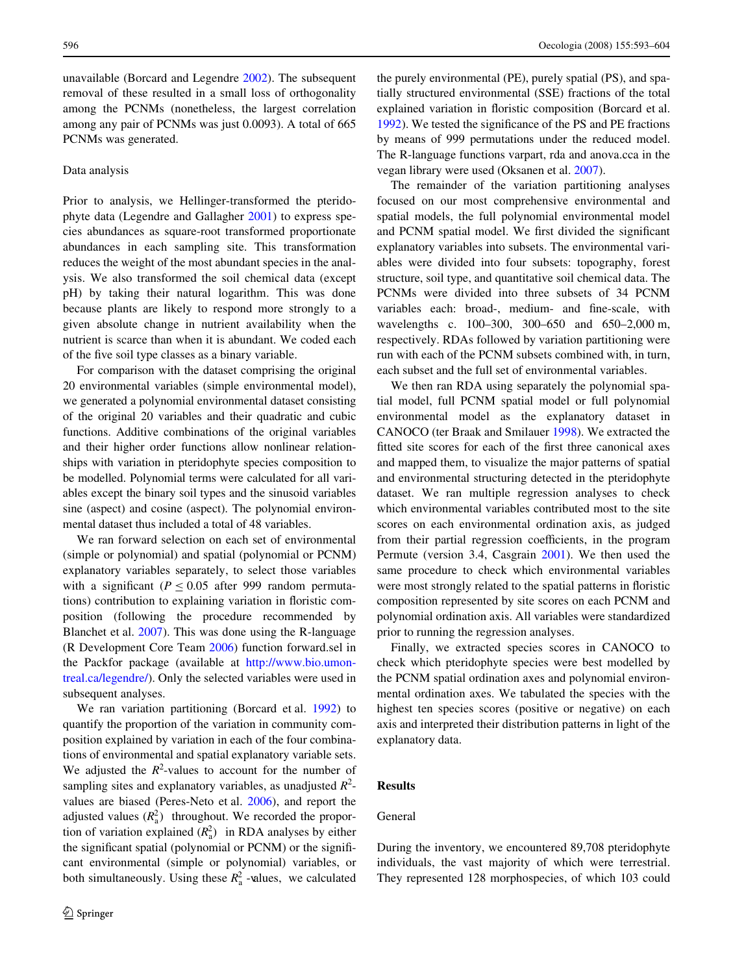unavailable (Borcard and Legendre [2002](#page-10-24)). The subsequent removal of these resulted in a small loss of orthogonality among the PCNMs (nonetheless, the largest correlation among any pair of PCNMs was just 0.0093). A total of 665 PCNMs was generated.

#### Data analysis

Prior to analysis, we Hellinger-transformed the pteridophyte data (Legendre and Gallagher [2001\)](#page-10-36) to express species abundances as square-root transformed proportionate abundances in each sampling site. This transformation reduces the weight of the most abundant species in the analysis. We also transformed the soil chemical data (except pH) by taking their natural logarithm. This was done because plants are likely to respond more strongly to a given absolute change in nutrient availability when the nutrient is scarce than when it is abundant. We coded each of the five soil type classes as a binary variable.

For comparison with the dataset comprising the original 20 environmental variables (simple environmental model), we generated a polynomial environmental dataset consisting of the original 20 variables and their quadratic and cubic functions. Additive combinations of the original variables and their higher order functions allow nonlinear relationships with variation in pteridophyte species composition to be modelled. Polynomial terms were calculated for all variables except the binary soil types and the sinusoid variables sine (aspect) and cosine (aspect). The polynomial environmental dataset thus included a total of 48 variables.

We ran forward selection on each set of environmental (simple or polynomial) and spatial (polynomial or PCNM) explanatory variables separately, to select those variables with a significant  $(P < 0.05$  after 999 random permutations) contribution to explaining variation in floristic composition (following the procedure recommended by Blanchet et al. [2007](#page-10-37)). This was done using the R-language (R Development Core Team [2006\)](#page-10-38) function forward.sel in the Packfor package (available at [http://www.bio.umon](http://www.bio.umontreal.ca/legendre/)[treal.ca/legendre/](http://www.bio.umontreal.ca/legendre/)). Only the selected variables were used in subsequent analyses.

We ran variation partitioning (Borcard et al. [1992](#page-10-11)) to quantify the proportion of the variation in community composition explained by variation in each of the four combinations of environmental and spatial explanatory variable sets. We adjusted the  $R^2$ -values to account for the number of sampling sites and explanatory variables, as unadjusted  $R^2$ values are biased (Peres-Neto et al. [2006](#page-10-39)), and report the adjusted values  $(R_a^2)$  throughout. We recorded the proportion of variation explained  $(R_a^2)$  in RDA analyses by either the significant spatial (polynomial or PCNM) or the significant environmental (simple or polynomial) variables, or both simultaneously. Using these  $R_a^2$  -values, we calculated

the purely environmental (PE), purely spatial (PS), and spatially structured environmental (SSE) fractions of the total explained variation in floristic composition (Borcard et al. [1992](#page-10-11)). We tested the significance of the PS and PE fractions by means of 999 permutations under the reduced model. The R-language functions varpart, rda and anova.cca in the vegan library were used (Oksanen et al. [2007](#page-10-40)).

The remainder of the variation partitioning analyses focused on our most comprehensive environmental and spatial models, the full polynomial environmental model and PCNM spatial model. We first divided the significant explanatory variables into subsets. The environmental variables were divided into four subsets: topography, forest structure, soil type, and quantitative soil chemical data. The PCNMs were divided into three subsets of 34 PCNM variables each: broad-, medium- and fine-scale, with wavelengths c. 100–300, 300–650 and 650–2,000 m, respectively. RDAs followed by variation partitioning were run with each of the PCNM subsets combined with, in turn, each subset and the full set of environmental variables.

We then ran RDA using separately the polynomial spatial model, full PCNM spatial model or full polynomial environmental model as the explanatory dataset in CANOCO (ter Braak and Smilauer [1998\)](#page-10-41). We extracted the fitted site scores for each of the first three canonical axes and mapped them, to visualize the major patterns of spatial and environmental structuring detected in the pteridophyte dataset. We ran multiple regression analyses to check which environmental variables contributed most to the site scores on each environmental ordination axis, as judged from their partial regression coefficients, in the program Permute (version 3.4, Casgrain [2001\)](#page-10-42). We then used the same procedure to check which environmental variables were most strongly related to the spatial patterns in floristic composition represented by site scores on each PCNM and polynomial ordination axis. All variables were standardized prior to running the regression analyses.

Finally, we extracted species scores in CANOCO to check which pteridophyte species were best modelled by the PCNM spatial ordination axes and polynomial environmental ordination axes. We tabulated the species with the highest ten species scores (positive or negative) on each axis and interpreted their distribution patterns in light of the explanatory data.

# **Results**

## General

During the inventory, we encountered 89,708 pteridophyte individuals, the vast majority of which were terrestrial. They represented 128 morphospecies, of which 103 could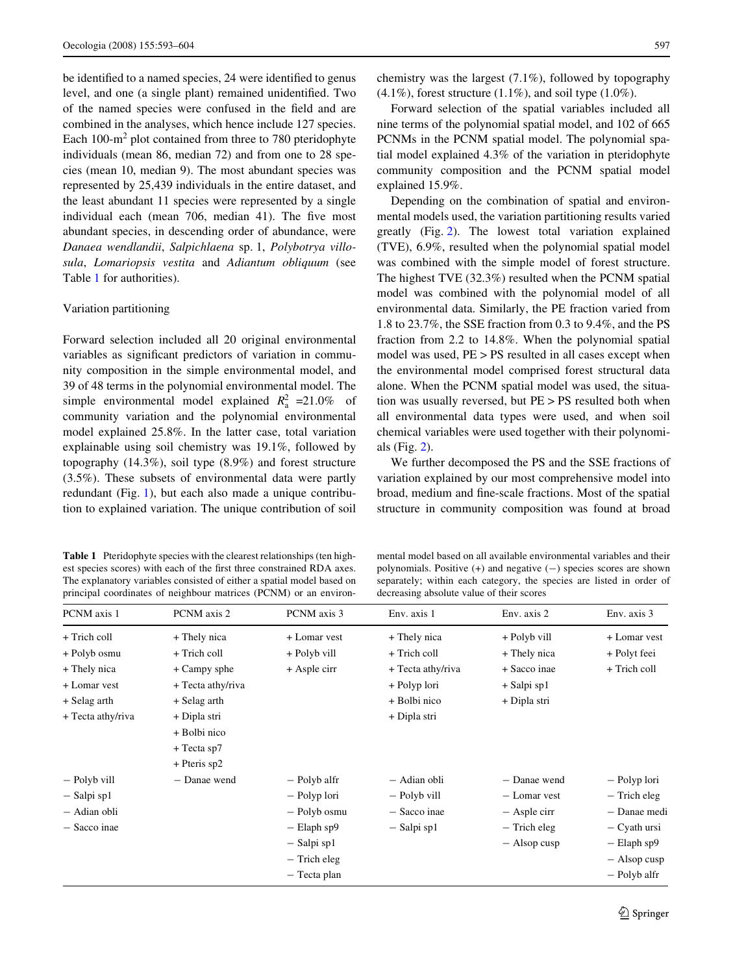be identified to a named species, 24 were identified to genus level, and one (a single plant) remained unidentified. Two of the named species were confused in the field and are combined in the analyses, which hence include 127 species. Each  $100 \text{--} \text{m}^2$  plot contained from three to 780 pteridophyte individuals (mean 86, median 72) and from one to 28 species (mean 10, median 9). The most abundant species was represented by 25,439 individuals in the entire dataset, and the least abundant 11 species were represented by a single individual each (mean 706, median 41). The five most abundant species, in descending order of abundance, were *Danaea wendlandii*, *Salpichlaena* sp. 1, *Polybotrya villosula*, *Lomariopsis vestita* and *Adiantum obliquum* (see Table [1](#page-4-0) for authorities).

### Variation partitioning

Forward selection included all 20 original environmental variables as significant predictors of variation in community composition in the simple environmental model, and 39 of 48 terms in the polynomial environmental model. The simple environmental model explained  $R_a^2$  =21.0% of community variation and the polynomial environmental model explained 25.8%. In the latter case, total variation explainable using soil chemistry was 19.1%, followed by topography (14.3%), soil type (8.9%) and forest structure (3.5%). These subsets of environmental data were partly redundant (Fig. [1](#page-5-0)), but each also made a unique contribution to explained variation. The unique contribution of soil

<span id="page-4-0"></span>**Table 1** Pteridophyte species with the clearest relationships (ten highest species scores) with each of the first three constrained RDA axes. The explanatory variables consisted of either a spatial model based on principal coordinates of neighbour matrices (PCNM) or an environ-

chemistry was the largest (7.1%), followed by topography  $(4.1\%)$ , forest structure  $(1.1\%)$ , and soil type  $(1.0\%)$ .

Forward selection of the spatial variables included all nine terms of the polynomial spatial model, and 102 of 665 PCNMs in the PCNM spatial model. The polynomial spatial model explained 4.3% of the variation in pteridophyte community composition and the PCNM spatial model explained 15.9%.

Depending on the combination of spatial and environmental models used, the variation partitioning results varied greatly (Fig. [2](#page-5-1)). The lowest total variation explained (TVE), 6.9%, resulted when the polynomial spatial model was combined with the simple model of forest structure. The highest TVE (32.3%) resulted when the PCNM spatial model was combined with the polynomial model of all environmental data. Similarly, the PE fraction varied from 1.8 to 23.7%, the SSE fraction from 0.3 to 9.4%, and the PS fraction from 2.2 to 14.8%. When the polynomial spatial model was used, PE > PS resulted in all cases except when the environmental model comprised forest structural data alone. When the PCNM spatial model was used, the situation was usually reversed, but PE > PS resulted both when all environmental data types were used, and when soil chemical variables were used together with their polynomials (Fig. [2](#page-5-1)).

We further decomposed the PS and the SSE fractions of variation explained by our most comprehensive model into broad, medium and fine-scale fractions. Most of the spatial structure in community composition was found at broad

mental model based on all available environmental variables and their polynomials. Positive  $(+)$  and negative  $(-)$  species scores are shown separately; within each category, the species are listed in order of decreasing absolute value of their scores

| PCNM axis 1       | PCNM axis 2       | PCNM axis 3      | Env. axis 1       | Env. axis 2    | Env. axis 3      |
|-------------------|-------------------|------------------|-------------------|----------------|------------------|
| + Trich coll      | + Thely nica      | + Lomar vest     | + Thely nica      | + Polyb vill   | + Lomar vest     |
| + Polyb osmu      | + Trich coll      | + Polyb vill     | + Trich coll      | + Thely nica   | + Polyt feei     |
| + Thely nica      | + Campy sphe      | + Asple cirr     | + Tecta athy/riva | + Sacco inae   | + Trich coll     |
| + Lomar vest      | + Tecta athy/riva |                  | + Polyp lori      | $+$ Salpi sp1  |                  |
| + Selag arth      | + Selag arth      |                  | + Bolbi nico      | + Dipla stri   |                  |
| + Tecta athy/riva | + Dipla stri      |                  | + Dipla stri      |                |                  |
|                   | + Bolbi nico      |                  |                   |                |                  |
|                   | $+$ Tecta sp7     |                  |                   |                |                  |
|                   | $+$ Pteris sp2    |                  |                   |                |                  |
| - Polyb vill      | - Danae wend      | - Polyb alfr     | - Adian obli      | - Danae wend   | - Polyp lori     |
| $-$ Salpi sp1     |                   | - Polyp lori     | - Polyb vill      | - Lomar vest   | $-$ Trich eleg   |
| - Adian obli      |                   | - Polyb osmu     | - Sacco inae      | $-$ Asple cirr | - Danae medi     |
| - Sacco inae      |                   | $-$ Elaph sp $9$ | $-$ Salpi sp1     | $-$ Trich eleg | - Cyath ursi     |
|                   |                   | $-$ Salpi sp1    |                   | $-$ Alsop cusp | $-$ Elaph sp $9$ |
|                   |                   | $-$ Trich eleg   |                   |                | $-$ Alsop cusp   |
|                   |                   | - Tecta plan     |                   |                | - Polyb alfr     |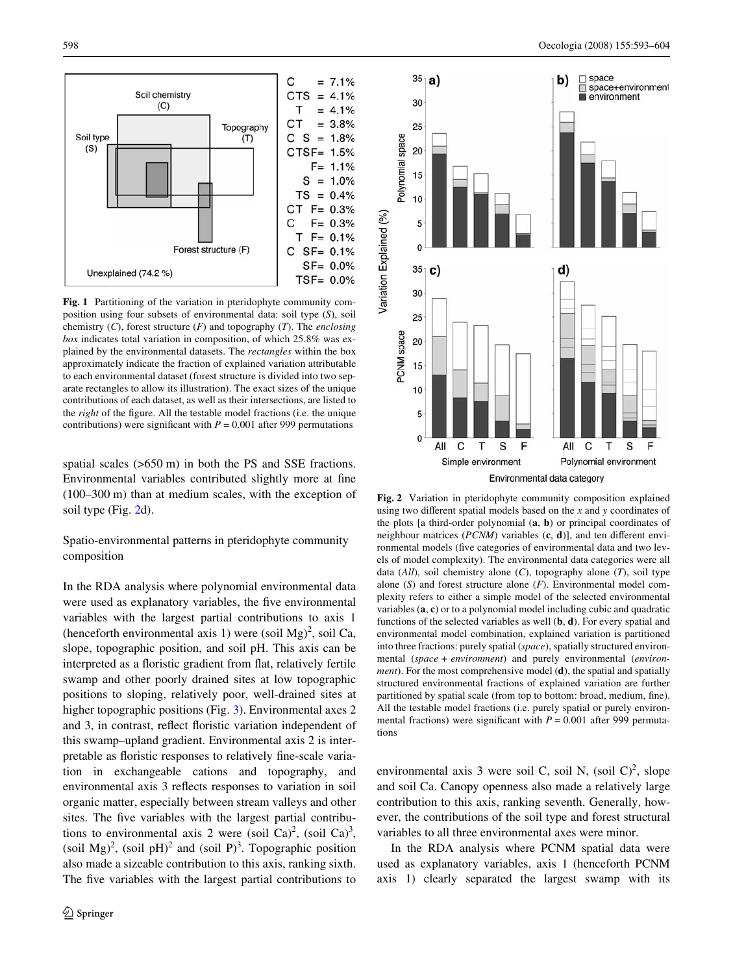

<span id="page-5-0"></span>**Fig. 1** Partitioning of the variation in pteridophyte community composition using four subsets of environmental data: soil type (*S*), soil chemistry (*C*), forest structure (*F*) and topography (*T*). The *enclosing box* indicates total variation in composition, of which 25.8% was explained by the environmental datasets. The *rectangles* within the box approximately indicate the fraction of explained variation attributable to each environmental dataset (forest structure is divided into two separate rectangles to allow its illustration). The exact sizes of the unique contributions of each dataset, as well as their intersections, are listed to the *right* of the figure. All the testable model fractions (i.e. the unique contributions) were significant with  $P = 0.001$  after 999 permutations

spatial scales (>650 m) in both the PS and SSE fractions. Environmental variables contributed slightly more at fine (100–300 m) than at medium scales, with the exception of soil type (Fig. [2](#page-5-1)d).

Spatio-environmental patterns in pteridophyte community composition

In the RDA analysis where polynomial environmental data were used as explanatory variables, the five environmental variables with the largest partial contributions to axis 1 (henceforth environmental axis 1) were (soil Mg)<sup>2</sup>, soil Ca, slope, topographic position, and soil pH. This axis can be interpreted as a floristic gradient from flat, relatively fertile swamp and other poorly drained sites at low topographic positions to sloping, relatively poor, well-drained sites at higher topographic positions (Fig. [3](#page-6-0)). Environmental axes 2 and 3, in contrast, reflect floristic variation independent of this swamp–upland gradient. Environmental axis 2 is interpretable as floristic responses to relatively fine-scale variation in exchangeable cations and topography, and environmental axis 3 reflects responses to variation in soil organic matter, especially between stream valleys and other sites. The five variables with the largest partial contributions to environmental axis 2 were (soil Ca)<sup>2</sup>, (soil Ca)<sup>3</sup>, (soil Mg)<sup>2</sup>, (soil pH)<sup>2</sup> and (soil P)<sup>3</sup>. Topographic position also made a sizeable contribution to this axis, ranking sixth. The five variables with the largest partial contributions to



<span id="page-5-1"></span>**Fig. 2** Variation in pteridophyte community composition explained using two different spatial models based on the *x* and *y* coordinates of the plots [a third-order polynomial (**a**, **b**) or principal coordinates of neighbour matrices ( $PCNM$ ) variables  $(c, d)$ ], and ten different environmental models (five categories of environmental data and two levels of model complexity). The environmental data categories were all data (*All*), soil chemistry alone (*C*), topography alone (*T*), soil type alone (*S*) and forest structure alone (*F*). Environmental model complexity refers to either a simple model of the selected environmental variables (**a**, **c**) or to a polynomial model including cubic and quadratic functions of the selected variables as well (**b**, **d**). For every spatial and environmental model combination, explained variation is partitioned into three fractions: purely spatial (*space*), spatially structured environmental (*space + environment*) and purely environmental (*environment*). For the most comprehensive model (**d**), the spatial and spatially structured environmental fractions of explained variation are further partitioned by spatial scale (from top to bottom: broad, medium, fine). All the testable model fractions (i.e. purely spatial or purely environmental fractions) were significant with  $P = 0.001$  after 999 permutations

environmental axis 3 were soil C, soil N,  $(\text{soil C})^2$ , slope and soil Ca. Canopy openness also made a relatively large contribution to this axis, ranking seventh. Generally, however, the contributions of the soil type and forest structural variables to all three environmental axes were minor.

In the RDA analysis where PCNM spatial data were used as explanatory variables, axis 1 (henceforth PCNM axis 1) clearly separated the largest swamp with its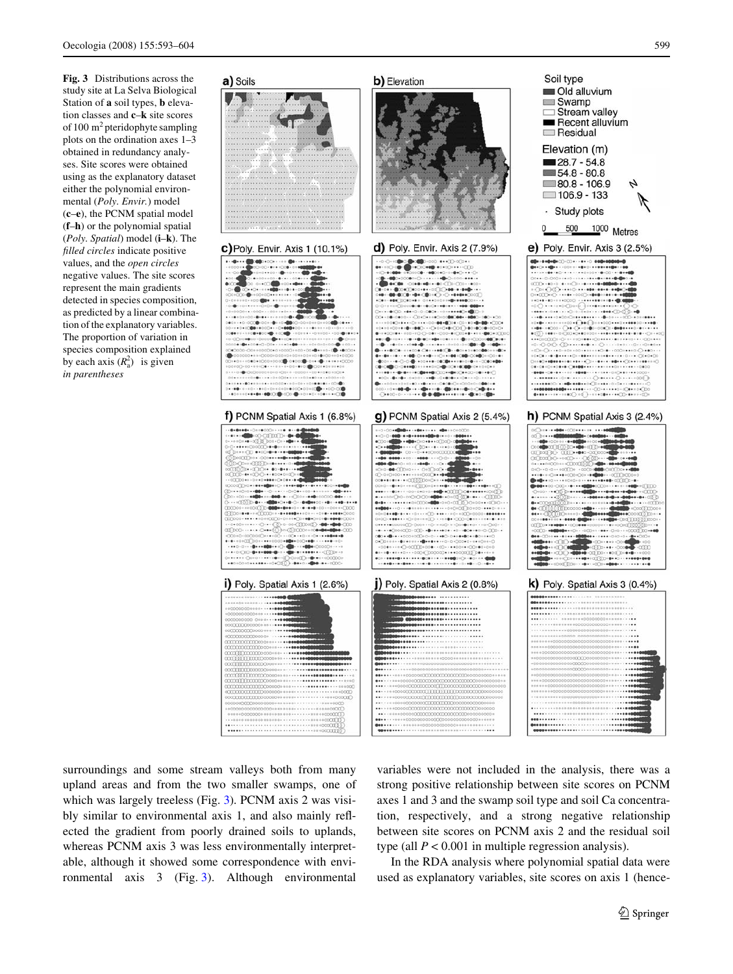<span id="page-6-0"></span>**Fig. 3** Distributions across the study site at La Selva Biological Station of **a** soil types, **b** elevation classes and **c**–**k** site scores of 100 m<sup>2</sup> pteridophyte sampling plots on the ordination axes 1–3 obtained in redundancy analyses. Site scores were obtained using as the explanatory dataset either the polynomial environmental (*Poly. Envir.*) model (**c**–**e**), the PCNM spatial model (**f**–**h**) or the polynomial spatial (*Poly. Spatial*) model (**i**–**k**). The *filled circles* indicate positive values, and the *open circles* negative values. The site scores represent the main gradients detected in species composition, as predicted by a linear combination of the explanatory variables. The proportion of variation in species composition explained by each axis  $(R_a^2)$  is given *in parentheses*



surroundings and some stream valleys both from many upland areas and from the two smaller swamps, one of which was largely treeless (Fig. [3\)](#page-6-0). PCNM axis 2 was visibly similar to environmental axis 1, and also mainly reflected the gradient from poorly drained soils to uplands, whereas PCNM axis 3 was less environmentally interpretable, although it showed some correspondence with environmental axis 3 (Fig. [3](#page-6-0)). Although environmental

variables were not included in the analysis, there was a strong positive relationship between site scores on PCNM axes 1 and 3 and the swamp soil type and soil Ca concentration, respectively, and a strong negative relationship between site scores on PCNM axis 2 and the residual soil type (all  $P < 0.001$  in multiple regression analysis).

In the RDA analysis where polynomial spatial data were used as explanatory variables, site scores on axis 1 (hence-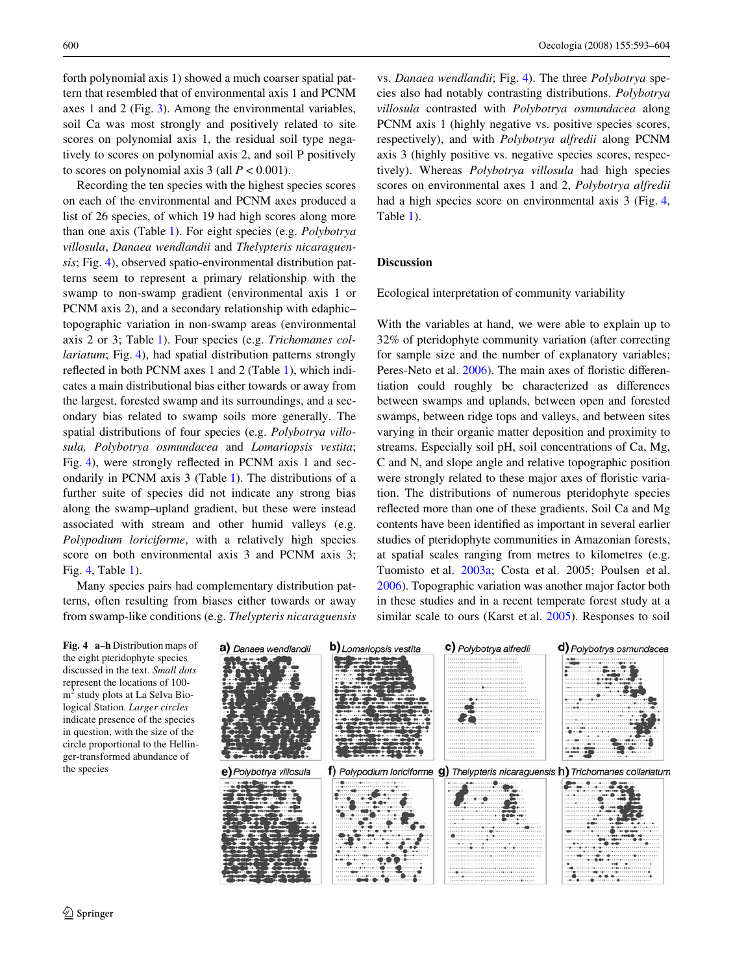forth polynomial axis 1) showed a much coarser spatial pattern that resembled that of environmental axis 1 and PCNM axes 1 and 2 (Fig. [3](#page-6-0)). Among the environmental variables, soil Ca was most strongly and positively related to site scores on polynomial axis 1, the residual soil type negatively to scores on polynomial axis 2, and soil P positively to scores on polynomial axis  $3$  (all  $P < 0.001$ ).

Recording the ten species with the highest species scores on each of the environmental and PCNM axes produced a list of 26 species, of which 19 had high scores along more than one axis (Table [1](#page-4-0)). For eight species (e.g. *Polybotrya villosula*, *Danaea wendlandii* and *Thelypteris nicaraguensis*; Fig. [4](#page-7-0)), observed spatio-environmental distribution patterns seem to represent a primary relationship with the swamp to non-swamp gradient (environmental axis 1 or PCNM axis 2), and a secondary relationship with edaphic– topographic variation in non-swamp areas (environmental axis 2 or 3; Table [1\)](#page-4-0). Four species (e.g. *Trichomanes collariatum*; Fig. [4](#page-7-0)), had spatial distribution patterns strongly reflected in both PCNM axes [1](#page-4-0) and 2 (Table 1), which indicates a main distributional bias either towards or away from the largest, forested swamp and its surroundings, and a secondary bias related to swamp soils more generally. The spatial distributions of four species (e.g. *Polybotrya villosula, Polybotrya osmundacea* and *Lomariopsis vestita*; Fig. [4](#page-7-0)), were strongly reflected in PCNM axis 1 and secondarily in PCNM axis 3 (Table [1\)](#page-4-0). The distributions of a further suite of species did not indicate any strong bias along the swamp–upland gradient, but these were instead associated with stream and other humid valleys (e.g. *Polypodium loriciforme*, with a relatively high species score on both environmental axis 3 and PCNM axis 3; Fig. [4](#page-7-0), Table [1\)](#page-4-0).

Many species pairs had complementary distribution patterns, often resulting from biases either towards or away from swamp-like conditions (e.g. *Thelypteris nicaraguensis* vs. *Danaea wendlandii*; Fig. [4](#page-7-0)). The three *Polybotrya* species also had notably contrasting distributions. *Polybotrya villosula* contrasted with *Polybotrya osmundacea* along PCNM axis 1 (highly negative vs. positive species scores, respectively), and with *Polybotrya alfredii* along PCNM axis 3 (highly positive vs. negative species scores, respectively). Whereas *Polybotrya villosula* had high species scores on environmental axes 1 and 2, *Polybotrya alfredii* had a high species score on environmental axis 3 (Fig. [4,](#page-7-0) Table [1](#page-4-0)).

## **Discussion**

Ecological interpretation of community variability

With the variables at hand, we were able to explain up to 32% of pteridophyte community variation (after correcting for sample size and the number of explanatory variables; Peres-Neto et al. [2006\)](#page-10-39). The main axes of floristic differentiation could roughly be characterized as differences between swamps and uplands, between open and forested swamps, between ridge tops and valleys, and between sites varying in their organic matter deposition and proximity to streams. Especially soil pH, soil concentrations of Ca, Mg, C and N, and slope angle and relative topographic position were strongly related to these major axes of floristic variation. The distributions of numerous pteridophyte species reflected more than one of these gradients. Soil Ca and Mg contents have been identified as important in several earlier studies of pteridophyte communities in Amazonian forests, at spatial scales ranging from metres to kilometres (e.g. Tuomisto et al. [2003a;](#page-11-2) Costa et al. 2005; Poulsen et al. [2006](#page-10-43)). Topographic variation was another major factor both in these studies and in a recent temperate forest study at a similar scale to ours (Karst et al. [2005\)](#page-10-14). Responses to soil

<span id="page-7-0"></span>**Fig. 4 a**–**h** Distribution maps of the eight pteridophyte species discussed in the text. *Small dots* represent the locations of 100 m<sup>2</sup> study plots at La Selva Biological Station. *Larger circles* indicate presence of the species in question, with the size of the circle proportional to the Hellinger-transformed abundance of the species

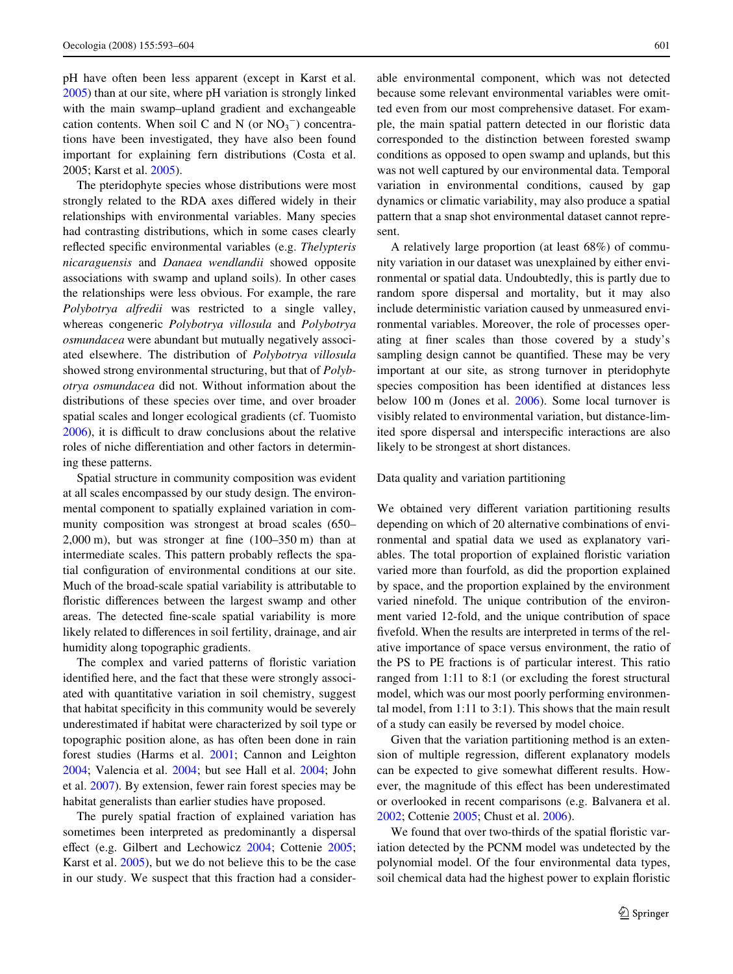pH have often been less apparent (except in Karst et al. [2005](#page-10-14)) than at our site, where pH variation is strongly linked with the main swamp–upland gradient and exchangeable cation contents. When soil C and N (or  $NO<sub>3</sub><sup>-</sup>$ ) concentrations have been investigated, they have also been found important for explaining fern distributions (Costa et al. 2005; Karst et al. [2005](#page-10-14)).

The pteridophyte species whose distributions were most strongly related to the RDA axes differed widely in their relationships with environmental variables. Many species had contrasting distributions, which in some cases clearly reflected specific environmental variables (e.g. *Thelypteris nicaraguensis* and *Danaea wendlandii* showed opposite associations with swamp and upland soils). In other cases the relationships were less obvious. For example, the rare *Polybotrya alfredii* was restricted to a single valley, whereas congeneric *Polybotrya villosula* and *Polybotrya osmundacea* were abundant but mutually negatively associated elsewhere. The distribution of *Polybotrya villosula* showed strong environmental structuring, but that of *Polybotrya osmundacea* did not. Without information about the distributions of these species over time, and over broader spatial scales and longer ecological gradients (cf. Tuomisto [2006](#page-11-7)), it is difficult to draw conclusions about the relative roles of niche differentiation and other factors in determining these patterns.

Spatial structure in community composition was evident at all scales encompassed by our study design. The environmental component to spatially explained variation in community composition was strongest at broad scales (650–  $2,000$  m), but was stronger at fine  $(100-350 \text{ m})$  than at intermediate scales. This pattern probably reflects the spatial configuration of environmental conditions at our site. Much of the broad-scale spatial variability is attributable to floristic differences between the largest swamp and other areas. The detected fine-scale spatial variability is more likely related to differences in soil fertility, drainage, and air humidity along topographic gradients.

The complex and varied patterns of floristic variation identified here, and the fact that these were strongly associated with quantitative variation in soil chemistry, suggest that habitat specificity in this community would be severely underestimated if habitat were characterized by soil type or topographic position alone, as has often been done in rain forest studies (Harms et al. [2001](#page-10-3); Cannon and Leighton [2004](#page-10-6); Valencia et al. [2004](#page-11-4); but see Hall et al. [2004;](#page-10-44) John et al. [2007](#page-10-7)). By extension, fewer rain forest species may be habitat generalists than earlier studies have proposed.

The purely spatial fraction of explained variation has sometimes been interpreted as predominantly a dispersal effect (e.g. Gilbert and Lechowicz  $2004$ ; Cottenie  $2005$ ; Karst et al. [2005\)](#page-10-14), but we do not believe this to be the case in our study. We suspect that this fraction had a considerable environmental component, which was not detected because some relevant environmental variables were omitted even from our most comprehensive dataset. For example, the main spatial pattern detected in our floristic data corresponded to the distinction between forested swamp conditions as opposed to open swamp and uplands, but this was not well captured by our environmental data. Temporal variation in environmental conditions, caused by gap dynamics or climatic variability, may also produce a spatial pattern that a snap shot environmental dataset cannot represent.

A relatively large proportion (at least 68%) of community variation in our dataset was unexplained by either environmental or spatial data. Undoubtedly, this is partly due to random spore dispersal and mortality, but it may also include deterministic variation caused by unmeasured environmental variables. Moreover, the role of processes operating at finer scales than those covered by a study's sampling design cannot be quantified. These may be very important at our site, as strong turnover in pteridophyte species composition has been identified at distances less below 100 m (Jones et al. [2006](#page-10-32)). Some local turnover is visibly related to environmental variation, but distance-limited spore dispersal and interspecific interactions are also likely to be strongest at short distances.

## Data quality and variation partitioning

We obtained very different variation partitioning results depending on which of 20 alternative combinations of environmental and spatial data we used as explanatory variables. The total proportion of explained floristic variation varied more than fourfold, as did the proportion explained by space, and the proportion explained by the environment varied ninefold. The unique contribution of the environment varied 12-fold, and the unique contribution of space fivefold. When the results are interpreted in terms of the relative importance of space versus environment, the ratio of the PS to PE fractions is of particular interest. This ratio ranged from 1:11 to 8:1 (or excluding the forest structural model, which was our most poorly performing environmental model, from 1:11 to 3:1). This shows that the main result of a study can easily be reversed by model choice.

Given that the variation partitioning method is an extension of multiple regression, different explanatory models can be expected to give somewhat different results. However, the magnitude of this effect has been underestimated or overlooked in recent comparisons (e.g. Balvanera et al. [2002](#page-10-19); Cottenie [2005;](#page-10-13) Chust et al. [2006\)](#page-10-23).

We found that over two-thirds of the spatial floristic variation detected by the PCNM model was undetected by the polynomial model. Of the four environmental data types, soil chemical data had the highest power to explain floristic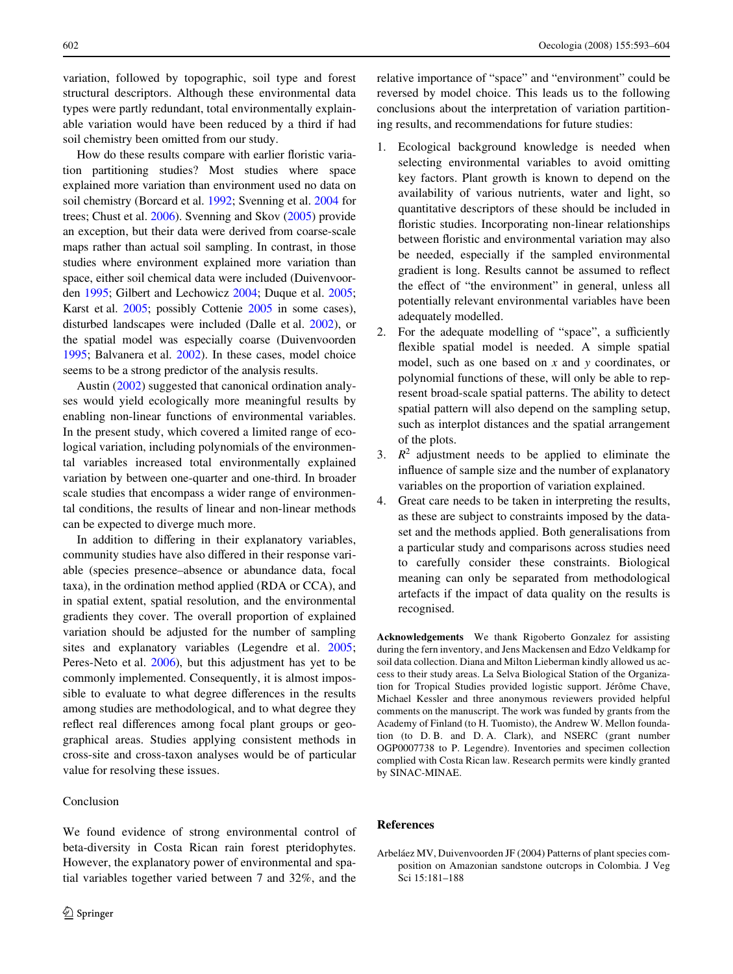variation, followed by topographic, soil type and forest structural descriptors. Although these environmental data types were partly redundant, total environmentally explainable variation would have been reduced by a third if had soil chemistry been omitted from our study.

How do these results compare with earlier floristic variation partitioning studies? Most studies where space explained more variation than environment used no data on soil chemistry (Borcard et al. [1992](#page-10-11); Svenning et al. [2004](#page-10-21) for trees; Chust et al. [2006](#page-10-23)). Svenning and Skov ([2005](#page-10-15)) provide an exception, but their data were derived from coarse-scale maps rather than actual soil sampling. In contrast, in those studies where environment explained more variation than space, either soil chemical data were included (Duivenvoorden [1995](#page-10-18); Gilbert and Lechowicz [2004](#page-10-12); Duque et al. [2005](#page-10-22); Karst et al. [2005;](#page-10-14) possibly Cottenie [2005](#page-10-13) in some cases), disturbed landscapes were included (Dalle et al. [2002](#page-10-20)), or the spatial model was especially coarse (Duivenvoorden [1995;](#page-10-18) Balvanera et al. [2002](#page-10-19)). In these cases, model choice seems to be a strong predictor of the analysis results.

Austin ([2002\)](#page-10-29) suggested that canonical ordination analyses would yield ecologically more meaningful results by enabling non-linear functions of environmental variables. In the present study, which covered a limited range of ecological variation, including polynomials of the environmental variables increased total environmentally explained variation by between one-quarter and one-third. In broader scale studies that encompass a wider range of environmental conditions, the results of linear and non-linear methods can be expected to diverge much more.

In addition to differing in their explanatory variables, community studies have also differed in their response variable (species presence–absence or abundance data, focal taxa), in the ordination method applied (RDA or CCA), and in spatial extent, spatial resolution, and the environmental gradients they cover. The overall proportion of explained variation should be adjusted for the number of sampling sites and explanatory variables (Legendre et al. [2005](#page-10-45); Peres-Neto et al. [2006\)](#page-10-39), but this adjustment has yet to be commonly implemented. Consequently, it is almost impossible to evaluate to what degree differences in the results among studies are methodological, and to what degree they reflect real differences among focal plant groups or geographical areas. Studies applying consistent methods in cross-site and cross-taxon analyses would be of particular value for resolving these issues.

## Conclusion

We found evidence of strong environmental control of beta-diversity in Costa Rican rain forest pteridophytes. However, the explanatory power of environmental and spatial variables together varied between 7 and 32%, and the

reversed by model choice. This leads us to the following conclusions about the interpretation of variation partitioning results, and recommendations for future studies:

- 1. Ecological background knowledge is needed when selecting environmental variables to avoid omitting key factors. Plant growth is known to depend on the availability of various nutrients, water and light, so quantitative descriptors of these should be included in floristic studies. Incorporating non-linear relationships between floristic and environmental variation may also be needed, especially if the sampled environmental gradient is long. Results cannot be assumed to reflect the effect of "the environment" in general, unless all potentially relevant environmental variables have been adequately modelled.
- 2. For the adequate modelling of "space", a sufficiently flexible spatial model is needed. A simple spatial model, such as one based on *x* and *y* coordinates, or polynomial functions of these, will only be able to represent broad-scale spatial patterns. The ability to detect spatial pattern will also depend on the sampling setup, such as interplot distances and the spatial arrangement of the plots.
- 3.  $R^2$  adjustment needs to be applied to eliminate the influence of sample size and the number of explanatory variables on the proportion of variation explained.
- 4. Great care needs to be taken in interpreting the results, as these are subject to constraints imposed by the dataset and the methods applied. Both generalisations from a particular study and comparisons across studies need to carefully consider these constraints. Biological meaning can only be separated from methodological artefacts if the impact of data quality on the results is recognised.

**Acknowledgements** We thank Rigoberto Gonzalez for assisting during the fern inventory, and Jens Mackensen and Edzo Veldkamp for soil data collection. Diana and Milton Lieberman kindly allowed us access to their study areas. La Selva Biological Station of the Organization for Tropical Studies provided logistic support. Jérôme Chave, Michael Kessler and three anonymous reviewers provided helpful comments on the manuscript. The work was funded by grants from the Academy of Finland (to H. Tuomisto), the Andrew W. Mellon foundation (to D. B. and D. A. Clark), and NSERC (grant number OGP0007738 to P. Legendre). Inventories and specimen collection complied with Costa Rican law. Research permits were kindly granted by SINAC-MINAE.

## **References**

<span id="page-9-0"></span>Arbeláez MV, Duivenvoorden JF (2004) Patterns of plant species composition on Amazonian sandstone outcrops in Colombia. J Veg Sci 15:181–188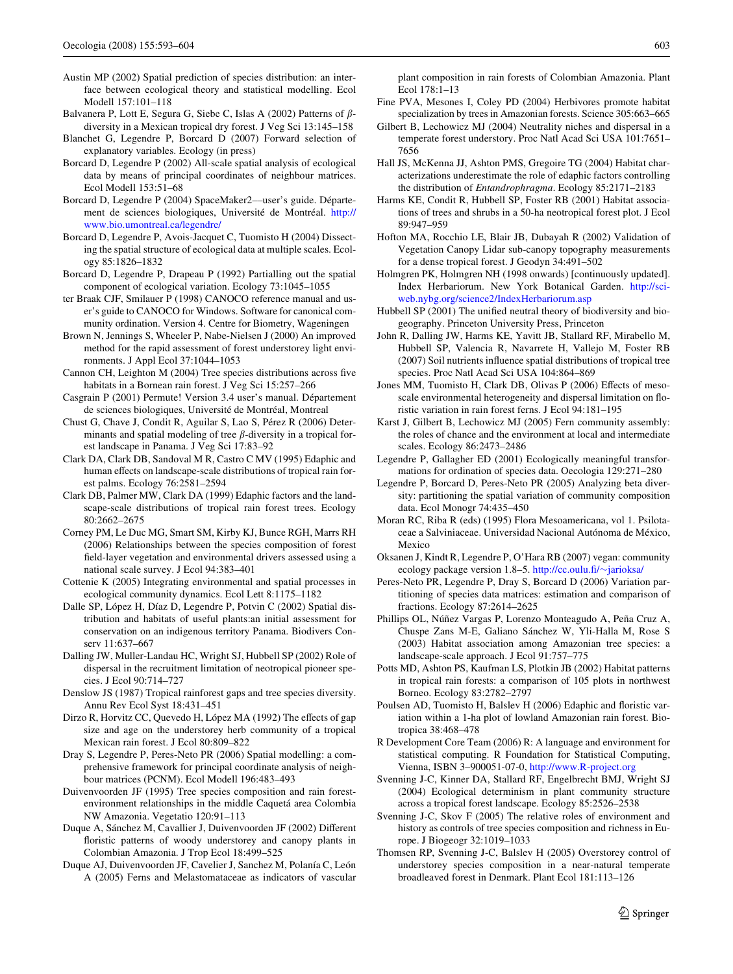- <span id="page-10-29"></span>Austin MP (2002) Spatial prediction of species distribution: an interface between ecological theory and statistical modelling. Ecol Modell 157:101–118
- <span id="page-10-19"></span>Balvanera P, Lott E, Segura G, Siebe C, Islas A (2002) Patterns of  $\beta$ diversity in a Mexican tropical dry forest. J Veg Sci 13:145–158
- <span id="page-10-37"></span>Blanchet G, Legendre P, Borcard D (2007) Forward selection of explanatory variables. Ecology (in press)
- <span id="page-10-24"></span>Borcard D, Legendre P (2002) All-scale spatial analysis of ecological data by means of principal coordinates of neighbour matrices. Ecol Modell 153:51–68
- <span id="page-10-35"></span>Borcard D, Legendre P (2004) SpaceMaker2––user's guide. Département de sciences biologiques, Université de Montréal. [http://](http://www.bio.umontreal.ca/legendre/) [www.bio.umontreal.ca/legendre/](http://www.bio.umontreal.ca/legendre/)
- <span id="page-10-25"></span>Borcard D, Legendre P, Avois-Jacquet C, Tuomisto H (2004) Dissecting the spatial structure of ecological data at multiple scales. Ecology 85:1826–1832
- <span id="page-10-11"></span>Borcard D, Legendre P, Drapeau P (1992) Partialling out the spatial component of ecological variation. Ecology 73:1045–1055
- <span id="page-10-41"></span>ter Braak CJF, Smilauer P (1998) CANOCO reference manual and user's guide to CANOCO for Windows. Software for canonical community ordination. Version 4. Centre for Biometry, Wageningen
- <span id="page-10-34"></span>Brown N, Jennings S, Wheeler P, Nabe-Nielsen J (2000) An improved method for the rapid assessment of forest understorey light environments. J Appl Ecol 37:1044–1053
- <span id="page-10-6"></span>Cannon CH, Leighton M (2004) Tree species distributions across five habitats in a Bornean rain forest. J Veg Sci 15:257–266
- <span id="page-10-42"></span>Casgrain P (2001) Permute! Version 3.4 user's manual. Département de sciences biologiques, Université de Montréal, Montreal
- <span id="page-10-23"></span>Chust G, Chave J, Condit R, Aguilar S, Lao S, Pérez R (2006) Determinants and spatial modeling of tree  $\beta$ -diversity in a tropical forest landscape in Panama. J Veg Sci 17:83–92
- <span id="page-10-27"></span>Clark DA, Clark DB, Sandoval M R, Castro C MV (1995) Edaphic and human effects on landscape-scale distributions of tropical rain forest palms. Ecology 76:2581–2594
- <span id="page-10-2"></span>Clark DB, Palmer MW, Clark DA (1999) Edaphic factors and the landscape-scale distributions of tropical rain forest trees. Ecology 80:2662–2675
- <span id="page-10-17"></span>Corney PM, Le Duc MG, Smart SM, Kirby KJ, Bunce RGH, Marrs RH (2006) Relationships between the species composition of forest field-layer vegetation and environmental drivers assessed using a national scale survey. J Ecol 94:383–401
- <span id="page-10-13"></span>Cottenie K (2005) Integrating environmental and spatial processes in ecological community dynamics. Ecol Lett 8:1175–1182
- <span id="page-10-20"></span>Dalle SP, López H, Díaz D, Legendre P, Potvin C (2002) Spatial distribution and habitats of useful plants:an initial assessment for conservation on an indigenous territory Panama. Biodivers Conserv 11:637–667
- <span id="page-10-9"></span>Dalling JW, Muller-Landau HC, Wright SJ, Hubbell SP (2002) Role of dispersal in the recruitment limitation of neotropical pioneer species. J Ecol 90:714–727
- <span id="page-10-0"></span>Denslow JS (1987) Tropical rainforest gaps and tree species diversity. Annu Rev Ecol Syst 18:431–451
- <span id="page-10-1"></span>Dirzo R, Horvitz CC, Quevedo H, López MA (1992) The effects of gap size and age on the understorey herb community of a tropical Mexican rain forest. J Ecol 80:809–822
- <span id="page-10-26"></span>Dray S, Legendre P, Peres-Neto PR (2006) Spatial modelling: a comprehensive framework for principal coordinate analysis of neighbour matrices (PCNM). Ecol Modell 196:483–493
- <span id="page-10-18"></span>Duivenvoorden JF (1995) Tree species composition and rain forestenvironment relationships in the middle Caquetá area Colombia NW Amazonia. Vegetatio 120:91–113
- <span id="page-10-4"></span>Duque A, Sánchez M, Cavallier J, Duivenvoorden JF (2002) Different floristic patterns of woody understorey and canopy plants in Colombian Amazonia. J Trop Ecol 18:499–525
- <span id="page-10-22"></span>Duque AJ, Duivenvoorden JF, Cavelier J, Sanchez M, Polanía C, León A (2005) Ferns and Melastomataceae as indicators of vascular

plant composition in rain forests of Colombian Amazonia. Plant Ecol 178:1–13

- <span id="page-10-10"></span>Fine PVA, Mesones I, Coley PD (2004) Herbivores promote habitat specialization by trees in Amazonian forests. Science 305:663–665
- <span id="page-10-12"></span>Gilbert B, Lechowicz MJ (2004) Neutrality niches and dispersal in a temperate forest understory. Proc Natl Acad Sci USA 101:7651– 7656
- <span id="page-10-44"></span>Hall JS, McKenna JJ, Ashton PMS, Gregoire TG (2004) Habitat characterizations underestimate the role of edaphic factors controlling the distribution of *Entandrophragma*. Ecology 85:2171–2183
- <span id="page-10-3"></span>Harms KE, Condit R, Hubbell SP, Foster RB (2001) Habitat associations of trees and shrubs in a 50-ha neotropical forest plot. J Ecol 89:947–959
- <span id="page-10-33"></span>Hofton MA, Rocchio LE, Blair JB, Dubayah R (2002) Validation of Vegetation Canopy Lidar sub-canopy topography measurements for a dense tropical forest. J Geodyn 34:491–502
- <span id="page-10-31"></span>Holmgren PK, Holmgren NH (1998 onwards) [continuously updated]. Index Herbariorum. New York Botanical Garden. [http://sci](http://sciweb.nybg.org/science2/IndexHerbariorum.asp)[web.nybg.org/science2/IndexHerbariorum.asp](http://sciweb.nybg.org/science2/IndexHerbariorum.asp)
- <span id="page-10-8"></span>Hubbell SP  $(2001)$  The unified neutral theory of biodiversity and biogeography. Princeton University Press, Princeton
- <span id="page-10-7"></span>John R, Dalling JW, Harms KE, Yavitt JB, Stallard RF, Mirabello M, Hubbell SP, Valencia R, Navarrete H, Vallejo M, Foster RB  $(2007)$  Soil nutrients influence spatial distributions of tropical tree species. Proc Natl Acad Sci USA 104:864–869
- <span id="page-10-32"></span>Jones MM, Tuomisto H, Clark DB, Olivas P (2006) Effects of mesoscale environmental heterogeneity and dispersal limitation on floristic variation in rain forest ferns. J Ecol 94:181–195
- <span id="page-10-14"></span>Karst J, Gilbert B, Lechowicz MJ (2005) Fern community assembly: the roles of chance and the environment at local and intermediate scales. Ecology 86:2473–2486
- <span id="page-10-36"></span>Legendre P, Gallagher ED (2001) Ecologically meaningful transformations for ordination of species data. Oecologia 129:271–280
- <span id="page-10-45"></span>Legendre P, Borcard D, Peres-Neto PR (2005) Analyzing beta diversity: partitioning the spatial variation of community composition data. Ecol Monogr 74:435–450
- <span id="page-10-30"></span>Moran RC, Riba R (eds) (1995) Flora Mesoamericana, vol 1. Psilotaceae a Salviniaceae. Universidad Nacional Autónoma de México, Mexico
- <span id="page-10-40"></span>Oksanen J, Kindt R, Legendre P, O'Hara RB (2007) vegan: community ecology package version 1.8–5. [http://cc.oulu.](http://cc.oulu.fi/~jarioksa/)fi/ $\sim$ jarioksa/
- <span id="page-10-39"></span>Peres-Neto PR, Legendre P, Dray S, Borcard D (2006) Variation partitioning of species data matrices: estimation and comparison of fractions. Ecology 87:2614–2625
- <span id="page-10-28"></span>Phillips OL, Núñez Vargas P, Lorenzo Monteagudo A, Peña Cruz A, Chuspe Zans M-E, Galiano Sánchez W, Yli-Halla M, Rose S (2003) Habitat association among Amazonian tree species: a landscape-scale approach. J Ecol 91:757–775
- <span id="page-10-5"></span>Potts MD, Ashton PS, Kaufman LS, Plotkin JB (2002) Habitat patterns in tropical rain forests: a comparison of 105 plots in northwest Borneo. Ecology 83:2782–2797
- <span id="page-10-43"></span>Poulsen AD, Tuomisto H, Balslev H (2006) Edaphic and floristic variation within a 1-ha plot of lowland Amazonian rain forest. Biotropica 38:468–478
- <span id="page-10-38"></span>R Development Core Team (2006) R: A language and environment for statistical computing. R Foundation for Statistical Computing, Vienna, ISBN 3–900051-07-0,<http://www.R-project.org>
- <span id="page-10-21"></span>Svenning J-C, Kinner DA, Stallard RF, Engelbrecht BMJ, Wright SJ (2004) Ecological determinism in plant community structure across a tropical forest landscape. Ecology 85:2526–2538
- <span id="page-10-15"></span>Svenning J-C, Skov F (2005) The relative roles of environment and history as controls of tree species composition and richness in Europe. J Biogeogr 32:1019–1033
- <span id="page-10-16"></span>Thomsen RP, Svenning J-C, Balslev H (2005) Overstorey control of understorey species composition in a near-natural temperate broadleaved forest in Denmark. Plant Ecol 181:113–126